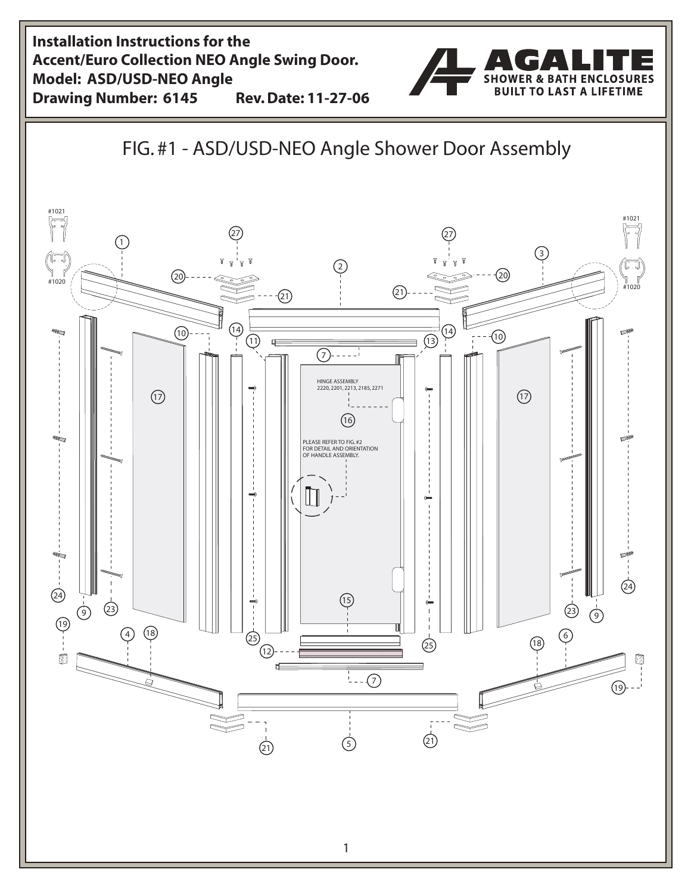**Installation Instructions for the Accent/Euro Collection NEO Angle Swing Door. Model: ASD/USD-NEO Angle SHOWER & BATH ENCLOSURES TO LAST A LIFETIME RUUT Drawing Number: 6145 Rev. Date: 11-27-06** FIG. #1 - ASD/USD-NEO Angle Shower Door Assembly #1021<br>|-<br>| | | | #1021<br>|-<br>| | | 27 27  $(1)$  $\begin{pmatrix} 1 & 1 \\ 1 & 1 \\ 1 & 1020 \end{pmatrix}$ 3 بايستا  $\overline{c}$  $(20)$ ැබ #1020  $(21)$ <u>(ව</u>  $\circledR$ 4  $(1)$   $(1)$  $\overline{(\overline{13})}$ ⊕ Œ  $(7)$ ---- $'$ HINGE ASSEMBLY<br>2220, 2201, 2213, 2185, 2271  $(1)$  $(1)$  $(16)$ PLEASE REFER TO FIG. # FOR DETAIL AND ORIENTATION OF HANDLE ASSEMBLY.  $\frac{1}{24}$  5  $\overline{3}$ 23 9  $\infty$   $\infty$   $\infty$   $\infty$   $\infty$   $\infty$   $\infty$   $\infty$   $\infty$   $\infty$   $\infty$   $\infty$   $\infty$   $\infty$   $\infty$   $\infty$   $\infty$   $\infty$   $\infty$   $\infty$   $\infty$   $\infty$   $\infty$   $\infty$   $\infty$   $\infty$   $\infty$   $\infty$   $\infty$   $\infty$   $\infty$   $\infty$   $\infty$   $\infty$   $\infty$   $\infty$   $\in$  $(19)$  - - -  $\blacksquare$ 6 4) (18)  $\qquad \qquad \qquad \qquad \Box$  (25)  $(25)$   $(18)$  $(12)$ ū  $\frac{1}{7}$  - -  $\frac{1}{2}$  $\circledR$  $\frac{1}{2}$  $\overline{21}$  (5)  $\mathbf{1}$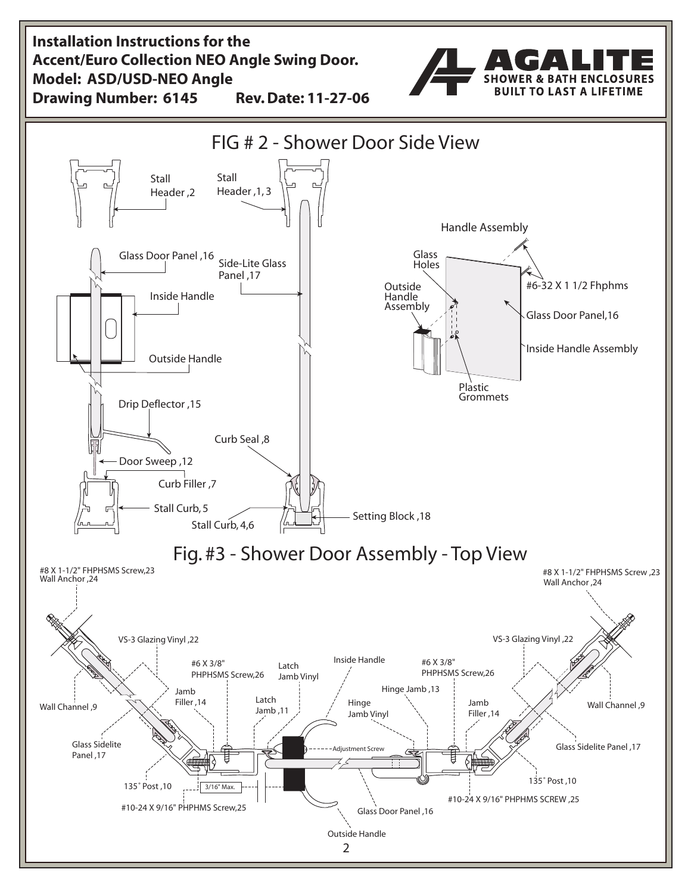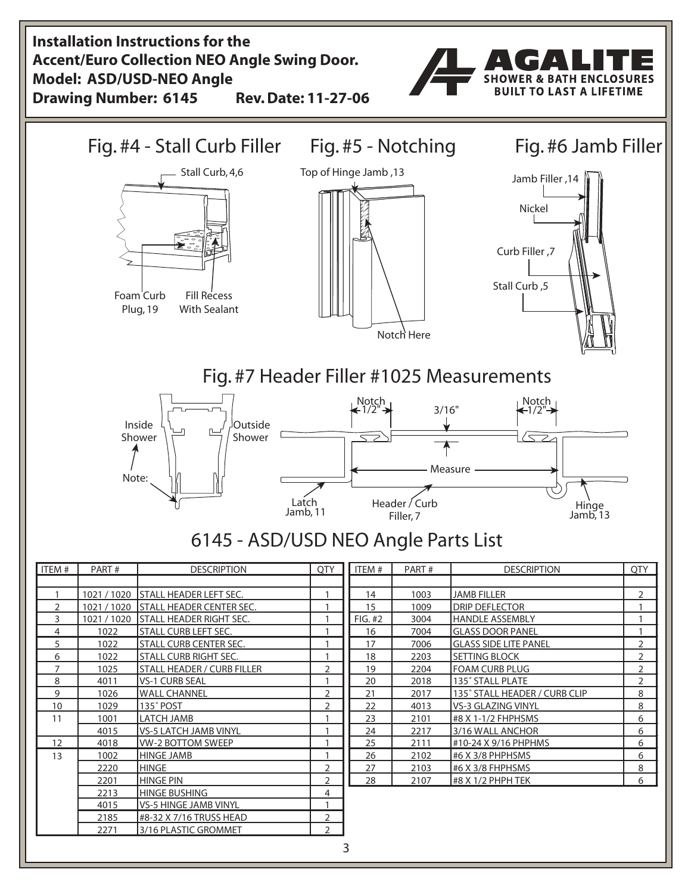**Installation Instructions for the Accent/Euro Collection NEO Angle Swing Door. Model: ASD/USD-NEO Angle SHOWER & BATH ENCLOSURES BUILT TO LAST A LIFETIME Drawing Number: 6145 Rev. Date: 11-27-06** Fig. #4 - Stall Curb Filler Fig. #5 - Notching Fig. #6 Jamb Filler Stall Curb, 4,6 Top of Hinge Jamb , Jamb Filler , Nickel Curb Filler ,7 Stall Curb ,5 Foam Curb Fill Recess Plug, 19 With Sealant Notch Here Fig. #7 Header Filler #1025 Measurements  $\bigwedge_{i=1}^{\infty}$ Notch<sub>1</sub>  $3/16"$ -1/2 Inside **Outside**  $\overline{\phantom{aa}}$ Shower Shower  $\Rightarrow$  $\langle \bigtriangledown z \rangle$ Measure Note: Latch Header / Curb **Hinge** Jamb, Filler, 7 Jamb, 13 65 - ASD/USD NEO Angle Parts List ITEM # PART # DESCRIPTION QTY ITEM # PART # DESCRIPTION QTY 0 / 00 STALL HEADER LEFT SEC. 00 JAMB FILLER 2 | 1021 / 1020 | STALL HEADER CENTER SEC. | | | | | | | 15 | 1009 | DRIP DEFLECTOR | | | | | | | | 0 / 1021 / 1020 STALL HEADER RIGHT SEC.  $\begin{array}{|c|c|c|c|c|c|}\n\hline\n1 & 1 & 6004 & 3004 & 400000 & 400000 & 51000 & 10000 & 10000 & 10000 & 10000 & 10000 & 10000 & 10000 & 10000 & 10000 & 10000 & 10000 & 10000 & 10000 & 10000 & 10000 & 10000 & 1000$ 4 | 1022 | STALL CURB LEFT SEC. | 1 || 16 | 7004 | GLASS DOOR PANEL | 1 5 0 1022 STALL CURB CENTER SEC. 1 0 1 0 17 0 7006 GLASS SIDE LITE PANEL 6 0 STALL CURB RIGHT SEC. 1 0 1 0 3 0 SETTING BLOCK 2 3 3 SETTING BLOCK 7 025 STALL HEADER / CURB FILLER 2 0 19 2204 FOAM CURB PLUG 8 4011 VS-1 CURB SEAL 1 20 2018 135° STALL PLATE 2 9 | 1026 | WALL CHANNEL | 2 | 2 | 21 | 2017 | 135° STALL HEADER / CURB CLIP | 8 10 09 5135° POST 2 2 2 4013 VS-3 GLAZING VINYL 8  $11$ 00 LATCH JAMB 0 #8 X -/ FHPHSMS 6 05 VS-5 LATCH JAMB VINYL 7 /6 WALL ANCHOR 6 12 | 4018 | WV-2 BOTTOM SWEEP | 1 | 25 | 2111 | #10-24 X 9/16 PHPHMS | 6  $13$ 00 HINGE JAMB 6 0 #6 X /8 PHPHSMS 6 0 HINGE 7 0 #6 X /8 FHPHSMS 8 0 HINGE PIN 8 07 #8 X / PHPH TEK 6 2213 HINGE BUSHING 4 4015 VS-5 HINGE JAMB VINYL 1 2185 #8-32 X 7/16 TRUSS HEAD 2 2271 3/16 PLASTIC GROMMET 2 3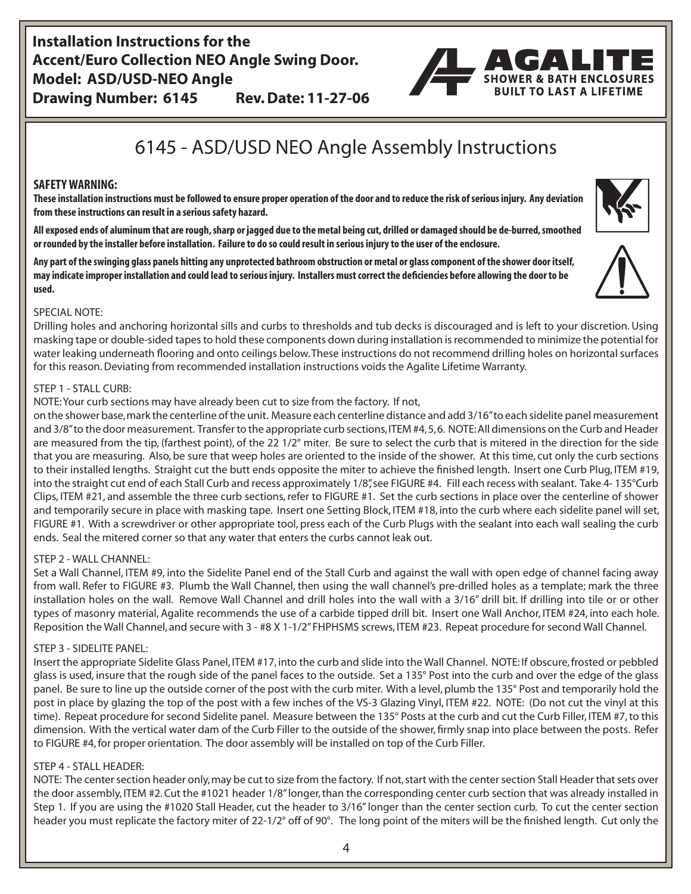**Installation Instructions for the Accent/Euro Collection NEO Angle Swing Door. Model: ASD/USD-NEO Angle Drawing Number: 6145 Rev. Date: 11-27-06**



# 6145 - ASD/USD NEO Angle Assembly Instructions

## **SAFETY WARNING:**

**These installation instructions must be followed to ensure proper operation of the door and to reduce the risk of serious injury. Any deviation from these instructions can result in a serious safety hazard.**

**All exposed ends of aluminum that are rough, sharp or jagged due to the metal being cut, drilled or damaged should be de-burred, smoothed or rounded by the installer before installation. Failure to do so could result in serious injury to the user of the enclosure.**

**Any part of the swinging glass panels hitting any unprotected bathroom obstruction or metal or glass component of the shower door itself, may indicate improper installation and could lead to serious injury. Installers must correct the deficiencies before allowing the door to be used.**



### SPECIAL NOTE:

Drilling holes and anchoring horizontal sills and curbs to thresholds and tub decks is discouraged and is left to your discretion. Using masking tape or double-sided tapes to hold these components down during installation is recommended to minimize the potential for water leaking underneath flooring and onto ceilings below. These instructions do not recommend drilling holes on horizontal surfaces for this reason. Deviating from recommended installation instructions voids the Agalite Lifetime Warranty.

#### STEP 1 - STALL CURB:

NOTE: Your curb sections may have already been cut to size from the factory. If not,

on the shower base, mark the centerline of the unit. Measure each centerline distance and add 3/16" to each sidelite panel measurement and 3/8" to the door measurement. Transfer to the appropriate curb sections, ITEM #4, 5, 6. NOTE: All dimensions on the Curb and Header are measured from the tip, (farthest point), of the 22  $1/2^{\circ}$  miter. Be sure to select the curb that is mitered in the direction for the side that you are measuring. Also, be sure that weep holes are oriented to the inside of the shower. At this time, cut only the curb sections to their installed lengths. Straight cut the butt ends opposite the miter to achieve the finished length. Insert one Curb Plug, ITEM #19, into the straight cut end of each Stall Curb and recess approximately 1/8", see FIGURE #4. Fill each recess with sealant. Take 4-135°Curb Clips, ITEM #21, and assemble the three curb sections, refer to FIGURE #1. Set the curb sections in place over the centerline of shower and temporarily secure in place with masking tape. Insert one Setting Block, ITEM #18, into the curb where each sidelite panel will set, FIGURE #1. With a screwdriver or other appropriate tool, press each of the Curb Plugs with the sealant into each wall sealing the curb ends. Seal the mitered corner so that any water that enters the curbs cannot leak out.

### STEP 2 - WALL CHANNEL:

Set a Wall Channel, ITEM #9, into the Sidelite Panel end of the Stall Curb and against the wall with open edge of channel facing away from wall. Refer to FIGURE #3. Plumb the Wall Channel, then using the wall channel's pre-drilled holes as a template; mark the three installation holes on the wall. Remove Wall Channel and drill holes into the wall with a 3/16" drill bit. If drilling into tile or or other types of masonry material, Agalite recommends the use of a carbide tipped drill bit. Insert one Wall Anchor, ITEM #24, into each hole. Reposition the Wall Channel, and secure with 3 - #8 X 1-1/2" FHPHSMS screws, ITEM #23. Repeat procedure for second Wall Channel.

### STEP 3 - SIDELITE PANEL:

Insert the appropriate Sidelite Glass Panel, ITEM #17, into the curb and slide into the Wall Channel. NOTE: If obscure, frosted or pebbled glass is used, insure that the rough side of the panel faces to the outside. Set a 135° Post into the curb and over the edge of the glass panel. Be sure to line up the outside corner of the post with the curb miter. With a level, plumb the 135° Post and temporarily hold the post in place by glazing the top of the post with a few inches of the VS-3 Glazing Vinyl, ITEM #22. NOTE: (Do not cut the vinyl at this time). Repeat procedure for second Sidelite panel. Measure between the 135° Posts at the curb and cut the Curb Filler, ITEM #7, to this dimension. With the vertical water dam of the Curb Filler to the outside of the shower, firmly snap into place between the posts. Refer to FIGURE #4, for proper orientation. The door assembly will be installed on top of the Curb Filler.

### STEP 4 - STALL HEADER:

NOTE: The center section header only, may be cut to size from the factory. If not, start with the center section Stall Header that sets over the door assembly, ITEM #2. Cut the #1021 header 1/8" longer, than the corresponding center curb section that was already installed in Step 1. If you are using the #1020 Stall Header, cut the header to 3/16" longer than the center section curb. To cut the center section header you must replicate the factory miter of 22-1/2° off of 90°. The long point of the miters will be the finished length. Cut only the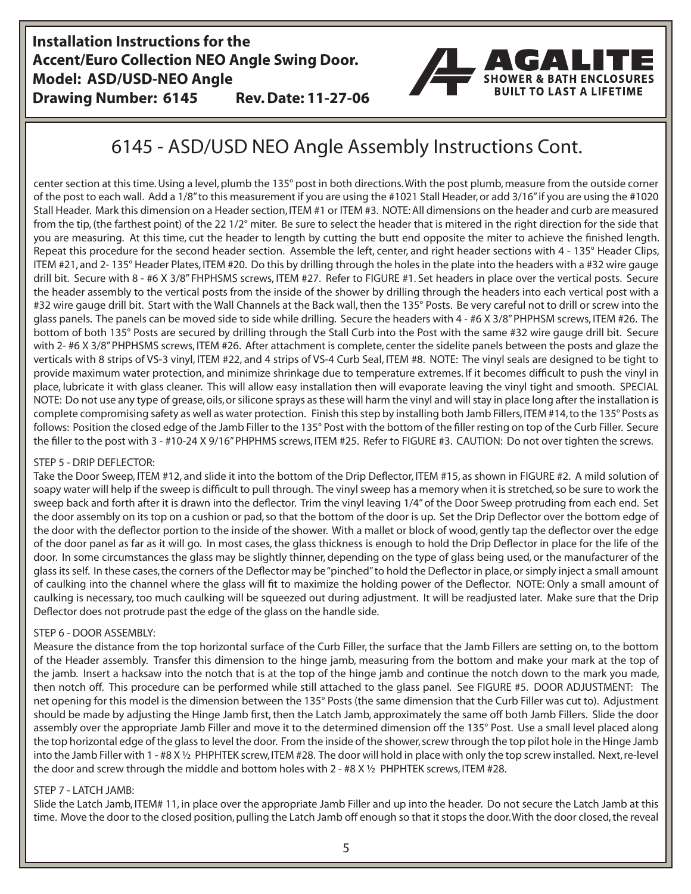**Installation Instructions for the Accent/Euro Collection NEO Angle Swing Door. Model: ASD/USD-NEO Angle Drawing Number: 6145 Rev. Date: 11-27-06**

# **SHOWER & BATH ENCLOSURES BUILT TO LAST A LIFETIME**

# 6145 - ASD/USD NEO Angle Assembly Instructions Cont.

center section at this time. Using a level, plumb the 135° post in both directions. With the post plumb, measure from the outside corner of the post to each wall. Add a 1/8" to this measurement if you are using the #1021 Stall Header, or add 3/16" if you are using the #1020 Stall Header. Mark this dimension on a Header section, ITEM #1 or ITEM #3. NOTE: All dimensions on the header and curb are measured from the tip, (the farthest point) of the 22 1/2° miter. Be sure to select the header that is mitered in the right direction for the side that you are measuring. At this time, cut the header to length by cutting the butt end opposite the miter to achieve the finished length. Repeat this procedure for the second header section. Assemble the left, center, and right header sections with 4 - 135° Header Clips, ITEM #21, and 2- 135° Header Plates, ITEM #20. Do this by drilling through the holes in the plate into the headers with a #32 wire gauge drill bit. Secure with 8 - #6 X 3/8" FHPHSMS screws, ITEM #27. Refer to FIGURE #1. Set headers in place over the vertical posts. Secure the header assembly to the vertical posts from the inside of the shower by drilling through the headers into each vertical post with a #32 wire gauge drill bit. Start with the Wall Channels at the Back wall, then the 135° Posts. Be very careful not to drill or screw into the glass panels. The panels can be moved side to side while drilling. Secure the headers with 4 - #6 X 3/8" PHPHSM screws, ITEM #26. The bottom of both 135° Posts are secured by drilling through the Stall Curb into the Post with the same #32 wire gauge drill bit. Secure with 2- #6 X 3/8" PHPHSMS screws, ITEM #26. After attachment is complete, center the sidelite panels between the posts and glaze the verticals with 8 strips of VS-3 vinyl, ITEM #22, and 4 strips of VS-4 Curb Seal, ITEM #8. NOTE: The vinyl seals are designed to be tight to provide maximum water protection, and minimize shrinkage due to temperature extremes. If it becomes difficult to push the vinyl in place, lubricate it with glass cleaner. This will allow easy installation then will evaporate leaving the vinyl tight and smooth. SPECIAL NOTE: Do not use any type of grease, oils, or silicone sprays as these will harm the vinyl and will stay in place long after the installation is complete compromising safety as well as water protection. Finish this step by installing both Jamb Fillers, ITEM #14, to the 135° Posts as follows: Position the closed edge of the Jamb Filler to the 135° Post with the bottom of the filler resting on top of the Curb Filler. Secure the filler to the post with 3 - #10-24 X 9/16" PHPHMS screws, ITEM #25. Refer to FIGURE #3. CAUTION: Do not over tighten the screws.

# STEP 5 - DRIP DEFLECTOR:

Take the Door Sweep, ITEM #12, and slide it into the bottom of the Drip Deflector, ITEM #15, as shown in FIGURE #2. A mild solution of soapy water will help if the sweep is difficult to pull through. The vinyl sweep has a memory when it is stretched, so be sure to work the sweep back and forth after it is drawn into the deflector. Trim the vinyl leaving 1/4" of the Door Sweep protruding from each end. Set the door assembly on its top on a cushion or pad, so that the bottom of the door is up. Set the Drip Deflector over the bottom edge of the door with the deflector portion to the inside of the shower. With a mallet or block of wood, gently tap the deflector over the edge of the door panel as far as it will go. In most cases, the glass thickness is enough to hold the Drip Deflector in place for the life of the door. In some circumstances the glass may be slightly thinner, depending on the type of glass being used, or the manufacturer of the glass its self. In these cases, the corners of the Deflector may be "pinched" to hold the Deflector in place, or simply inject a small amount of caulking into the channel where the glass will fit to maximize the holding power of the Deflector. NOTE: Only a small amount of caulking is necessary, too much caulking will be squeezed out during adjustment. It will be readjusted later. Make sure that the Drip Deflector does not protrude past the edge of the glass on the handle side.

# STEP 6 - DOOR ASSEMBLY:

Measure the distance from the top horizontal surface of the Curb Filler, the surface that the Jamb Fillers are setting on, to the bottom of the Header assembly. Transfer this dimension to the hinge jamb, measuring from the bottom and make your mark at the top of the jamb. Insert a hacksaw into the notch that is at the top of the hinge jamb and continue the notch down to the mark you made, then notch off. This procedure can be performed while still attached to the glass panel. See FIGURE #5. DOOR ADJUSTMENT: The net opening for this model is the dimension between the 135° Posts (the same dimension that the Curb Filler was cut to). Adjustment should be made by adjusting the Hinge Jamb first, then the Latch Jamb, approximately the same off both Jamb Fillers. Slide the door assembly over the appropriate Jamb Filler and move it to the determined dimension off the 135° Post. Use a small level placed along the top horizontal edge of the glass to level the door. From the inside of the shower, screw through the top pilot hole in the Hinge Jamb into the Jamb Filler with 1 - #8 X ½ PHPHTEK screw, ITEM #28. The door will hold in place with only the top screw installed. Next, re-level the door and screw through the middle and bottom holes with 2 - #8 X ½ PHPHTEK screws, ITEM #28.

# STEP 7 - LATCH JAMB:

Slide the Latch Jamb, ITEM# 11, in place over the appropriate Jamb Filler and up into the header. Do not secure the Latch Jamb at this time. Move the door to the closed position, pulling the Latch Jamb off enough so that it stops the door. With the door closed, the reveal